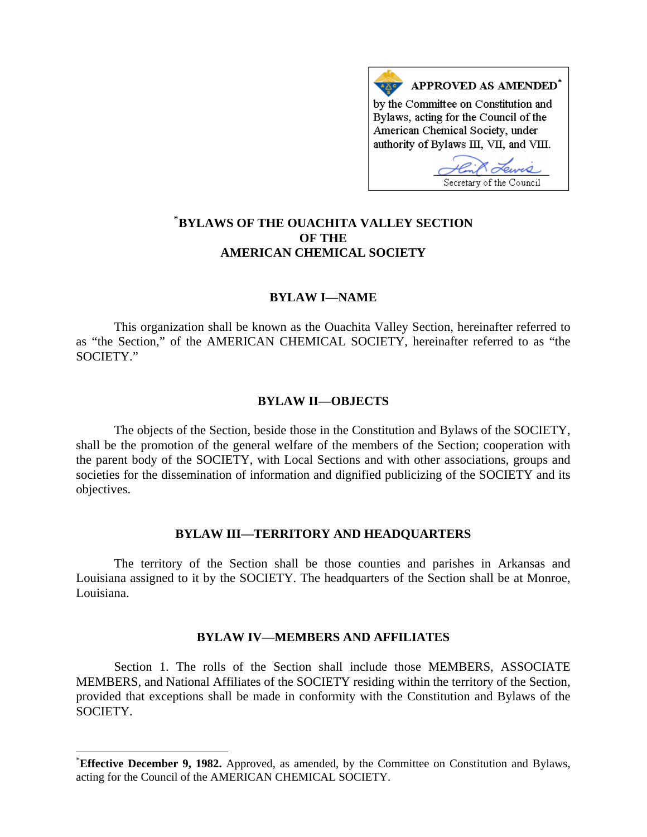

# **[\\*](#page-0-0) BYLAWS OF THE OUACHITA VALLEY SECTION OF THE AMERICAN CHEMICAL SOCIETY**

# **BYLAW I—NAME**

This organization shall be known as the Ouachita Valley Section, hereinafter referred to as "the Section," of the AMERICAN CHEMICAL SOCIETY, hereinafter referred to as "the SOCIETY."

## **BYLAW II—OBJECTS**

The objects of the Section, beside those in the Constitution and Bylaws of the SOCIETY, shall be the promotion of the general welfare of the members of the Section; cooperation with the parent body of the SOCIETY, with Local Sections and with other associations, groups and societies for the dissemination of information and dignified publicizing of the SOCIETY and its objectives.

## **BYLAW III—TERRITORY AND HEADQUARTERS**

The territory of the Section shall be those counties and parishes in Arkansas and Louisiana assigned to it by the SOCIETY. The headquarters of the Section shall be at Monroe, Louisiana.

## **BYLAW IV—MEMBERS AND AFFILIATES**

Section 1. The rolls of the Section shall include those MEMBERS, ASSOCIATE MEMBERS, and National Affiliates of the SOCIETY residing within the territory of the Section, provided that exceptions shall be made in conformity with the Constitution and Bylaws of the SOCIETY.

 $\overline{\phantom{a}}$ 

<span id="page-0-0"></span><sup>\*</sup> **Effective December 9, 1982.** Approved, as amended, by the Committee on Constitution and Bylaws, acting for the Council of the AMERICAN CHEMICAL SOCIETY.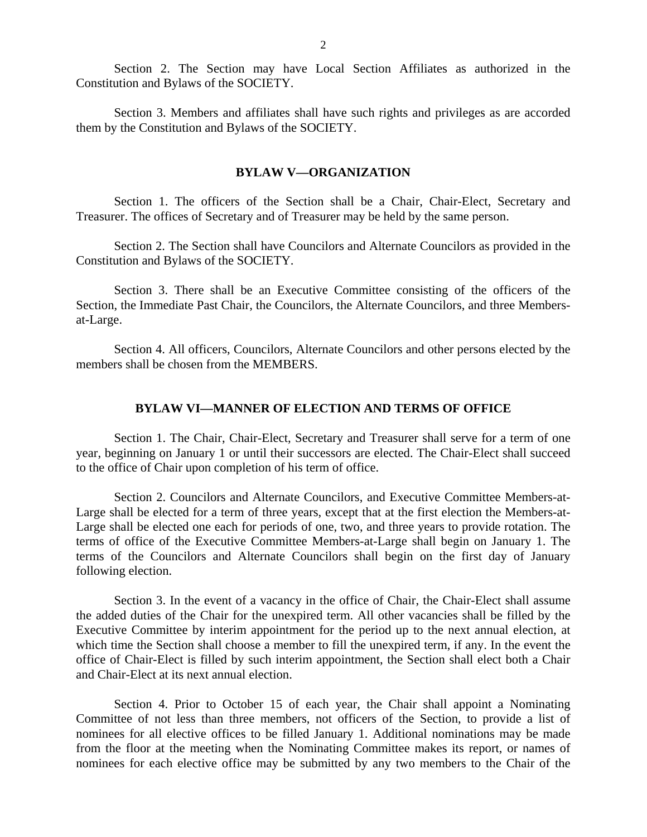Section 2. The Section may have Local Section Affiliates as authorized in the Constitution and Bylaws of the SOCIETY.

Section 3. Members and affiliates shall have such rights and privileges as are accorded them by the Constitution and Bylaws of the SOCIETY.

## **BYLAW V—ORGANIZATION**

Section 1. The officers of the Section shall be a Chair, Chair-Elect, Secretary and Treasurer. The offices of Secretary and of Treasurer may be held by the same person.

Section 2. The Section shall have Councilors and Alternate Councilors as provided in the Constitution and Bylaws of the SOCIETY.

Section 3. There shall be an Executive Committee consisting of the officers of the Section, the Immediate Past Chair, the Councilors, the Alternate Councilors, and three Membersat-Large.

Section 4. All officers, Councilors, Alternate Councilors and other persons elected by the members shall be chosen from the MEMBERS.

# **BYLAW VI—MANNER OF ELECTION AND TERMS OF OFFICE**

Section 1. The Chair, Chair-Elect, Secretary and Treasurer shall serve for a term of one year, beginning on January 1 or until their successors are elected. The Chair-Elect shall succeed to the office of Chair upon completion of his term of office.

Section 2. Councilors and Alternate Councilors, and Executive Committee Members-at-Large shall be elected for a term of three years, except that at the first election the Members-at-Large shall be elected one each for periods of one, two, and three years to provide rotation. The terms of office of the Executive Committee Members-at-Large shall begin on January 1. The terms of the Councilors and Alternate Councilors shall begin on the first day of January following election.

Section 3. In the event of a vacancy in the office of Chair, the Chair-Elect shall assume the added duties of the Chair for the unexpired term. All other vacancies shall be filled by the Executive Committee by interim appointment for the period up to the next annual election, at which time the Section shall choose a member to fill the unexpired term, if any. In the event the office of Chair-Elect is filled by such interim appointment, the Section shall elect both a Chair and Chair-Elect at its next annual election.

Section 4. Prior to October 15 of each year, the Chair shall appoint a Nominating Committee of not less than three members, not officers of the Section, to provide a list of nominees for all elective offices to be filled January 1. Additional nominations may be made from the floor at the meeting when the Nominating Committee makes its report, or names of nominees for each elective office may be submitted by any two members to the Chair of the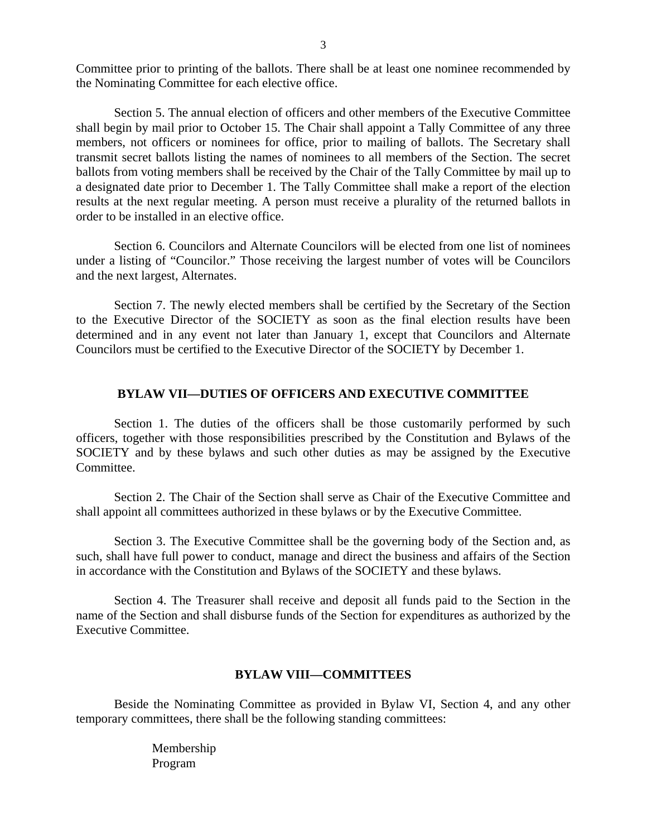Committee prior to printing of the ballots. There shall be at least one nominee recommended by the Nominating Committee for each elective office.

Section 5. The annual election of officers and other members of the Executive Committee shall begin by mail prior to October 15. The Chair shall appoint a Tally Committee of any three members, not officers or nominees for office, prior to mailing of ballots. The Secretary shall transmit secret ballots listing the names of nominees to all members of the Section. The secret ballots from voting members shall be received by the Chair of the Tally Committee by mail up to a designated date prior to December 1. The Tally Committee shall make a report of the election results at the next regular meeting. A person must receive a plurality of the returned ballots in order to be installed in an elective office.

Section 6. Councilors and Alternate Councilors will be elected from one list of nominees under a listing of "Councilor." Those receiving the largest number of votes will be Councilors and the next largest, Alternates.

Section 7. The newly elected members shall be certified by the Secretary of the Section to the Executive Director of the SOCIETY as soon as the final election results have been determined and in any event not later than January 1, except that Councilors and Alternate Councilors must be certified to the Executive Director of the SOCIETY by December 1.

#### **BYLAW VII—DUTIES OF OFFICERS AND EXECUTIVE COMMITTEE**

Section 1. The duties of the officers shall be those customarily performed by such officers, together with those responsibilities prescribed by the Constitution and Bylaws of the SOCIETY and by these bylaws and such other duties as may be assigned by the Executive Committee.

Section 2. The Chair of the Section shall serve as Chair of the Executive Committee and shall appoint all committees authorized in these bylaws or by the Executive Committee.

Section 3. The Executive Committee shall be the governing body of the Section and, as such, shall have full power to conduct, manage and direct the business and affairs of the Section in accordance with the Constitution and Bylaws of the SOCIETY and these bylaws.

Section 4. The Treasurer shall receive and deposit all funds paid to the Section in the name of the Section and shall disburse funds of the Section for expenditures as authorized by the Executive Committee.

### **BYLAW VIII—COMMITTEES**

Beside the Nominating Committee as provided in Bylaw VI, Section 4, and any other temporary committees, there shall be the following standing committees:

> Membership Program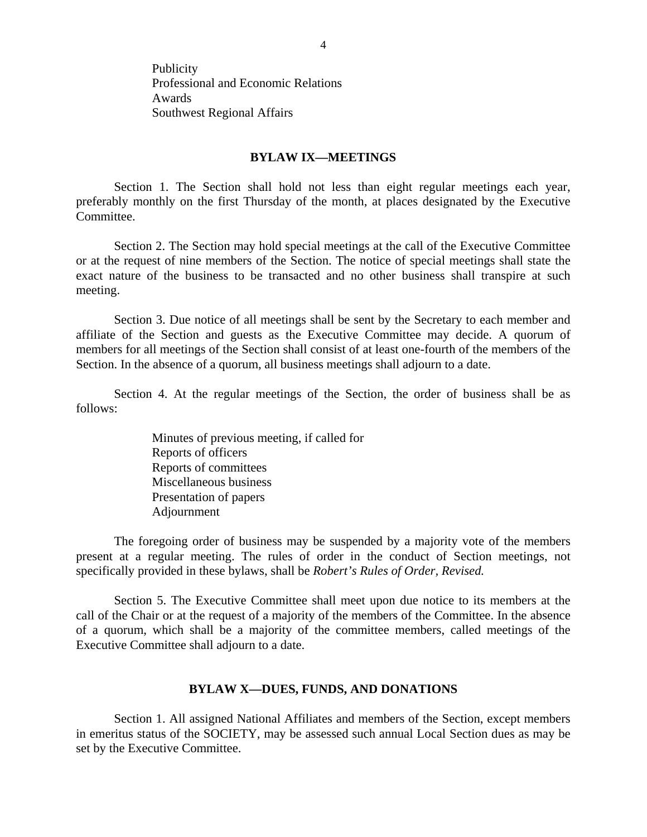Publicity Professional and Economic Relations Awards Southwest Regional Affairs

# **BYLAW IX—MEETINGS**

Section 1. The Section shall hold not less than eight regular meetings each year, preferably monthly on the first Thursday of the month, at places designated by the Executive Committee.

Section 2. The Section may hold special meetings at the call of the Executive Committee or at the request of nine members of the Section. The notice of special meetings shall state the exact nature of the business to be transacted and no other business shall transpire at such meeting.

Section 3. Due notice of all meetings shall be sent by the Secretary to each member and affiliate of the Section and guests as the Executive Committee may decide. A quorum of members for all meetings of the Section shall consist of at least one-fourth of the members of the Section. In the absence of a quorum, all business meetings shall adjourn to a date.

Section 4. At the regular meetings of the Section, the order of business shall be as follows:

> Minutes of previous meeting, if called for Reports of officers Reports of committees Miscellaneous business Presentation of papers Adjournment

The foregoing order of business may be suspended by a majority vote of the members present at a regular meeting. The rules of order in the conduct of Section meetings, not specifically provided in these bylaws, shall be *Robert's Rules of Order, Revised.*

Section 5. The Executive Committee shall meet upon due notice to its members at the call of the Chair or at the request of a majority of the members of the Committee. In the absence of a quorum, which shall be a majority of the committee members, called meetings of the Executive Committee shall adjourn to a date.

## **BYLAW X—DUES, FUNDS, AND DONATIONS**

Section 1. All assigned National Affiliates and members of the Section, except members in emeritus status of the SOCIETY, may be assessed such annual Local Section dues as may be set by the Executive Committee.